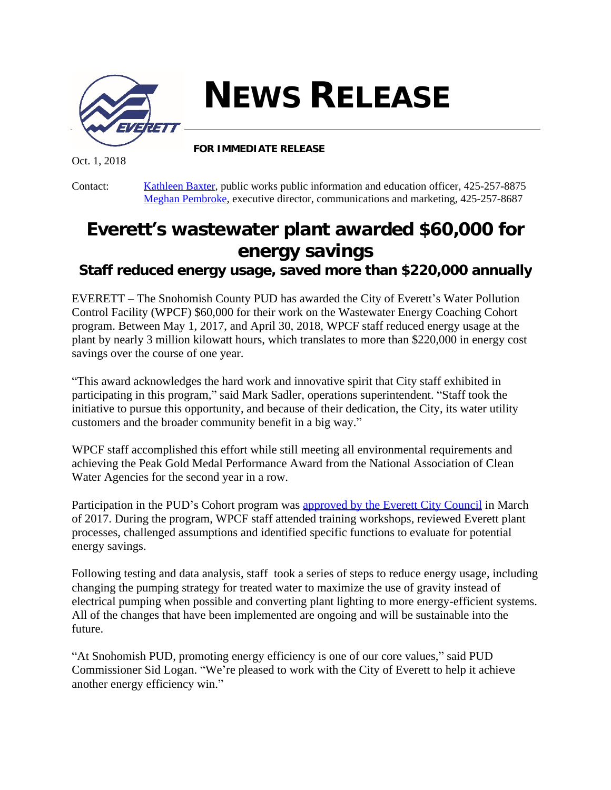

**NEWS RELEASE**

**FOR IMMEDIATE RELEASE**

Oct. 1, 2018

Contact: [Kathleen Baxter,](mailto:kbaxter@everettwa.gov) public works public information and education officer, 425-257-8875 [Meghan Pembroke](mailto:mpembroke@everettwa.gov), executive director, communications and marketing, 425-257-8687

## **Everett's wastewater plant awarded \$60,000 for energy savings**

*Staff reduced energy usage, saved more than \$220,000 annually*

EVERETT – The Snohomish County PUD has awarded the City of Everett's Water Pollution Control Facility (WPCF) \$60,000 for their work on the Wastewater Energy Coaching Cohort program. Between May 1, 2017, and April 30, 2018, WPCF staff reduced energy usage at the plant by nearly 3 million kilowatt hours, which translates to more than \$220,000 in energy cost savings over the course of one year.

"This award acknowledges the hard work and innovative spirit that City staff exhibited in participating in this program," said Mark Sadler, operations superintendent. "Staff took the initiative to pursue this opportunity, and because of their dedication, the City, its water utility customers and the broader community benefit in a big way."

WPCF staff accomplished this effort while still meeting all environmental requirements and achieving the Peak Gold Medal Performance Award from the National Association of Clean Water Agencies for the second year in a row.

Participation in the PUD's Cohort program was [approved by the Everett City Council](https://everettwa.gov/AgendaCenter/ViewFile/Item/5809?fileID=33600) in March of 2017. During the program, WPCF staff attended training workshops, reviewed Everett plant processes, challenged assumptions and identified specific functions to evaluate for potential energy savings.

Following testing and data analysis, staff took a series of steps to reduce energy usage, including changing the pumping strategy for treated water to maximize the use of gravity instead of electrical pumping when possible and converting plant lighting to more energy-efficient systems. All of the changes that have been implemented are ongoing and will be sustainable into the future.

"At Snohomish PUD, promoting energy efficiency is one of our core values," said PUD Commissioner Sid Logan. "We're pleased to work with the City of Everett to help it achieve another energy efficiency win."